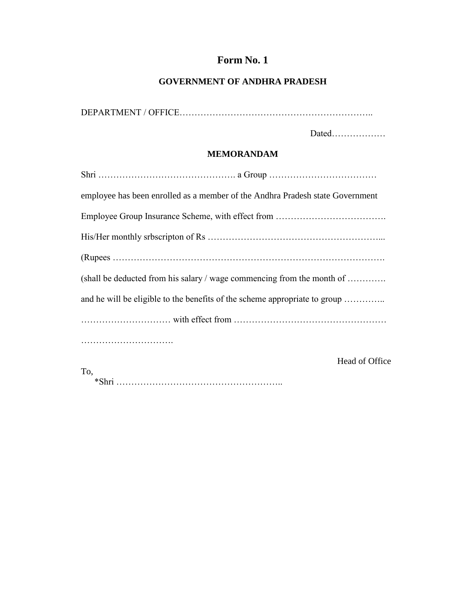# **Form No. 1**

# **GOVERNMENT OF ANDHRA PRADESH**

DEPARTMENT / OFFICE………………………………………………………..

Dated………………

#### **MEMORANDAM**

| employee has been enrolled as a member of the Andhra Pradesh state Government |
|-------------------------------------------------------------------------------|
|                                                                               |
|                                                                               |
|                                                                               |
| (shall be deducted from his salary / wage commencing from the month of        |
| and he will be eligible to the benefits of the scheme appropriate to group    |
|                                                                               |
|                                                                               |
| Head of Office<br>To,                                                         |
|                                                                               |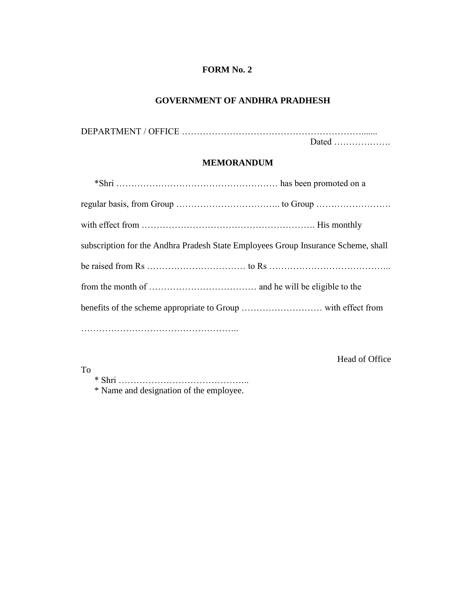# **GOVERNMENT OF ANDHRA PRADHESH**

DEPARTMENT / OFFICE …………………………………………………….......

Dated ……………….

### **MEMORANDUM**

| subscription for the Andhra Pradesh State Employees Group Insurance Scheme, shall |
|-----------------------------------------------------------------------------------|
|                                                                                   |
|                                                                                   |
|                                                                                   |
|                                                                                   |

To

Head of Office

\* Shri ……………………………………..

\* Name and designation of the employee.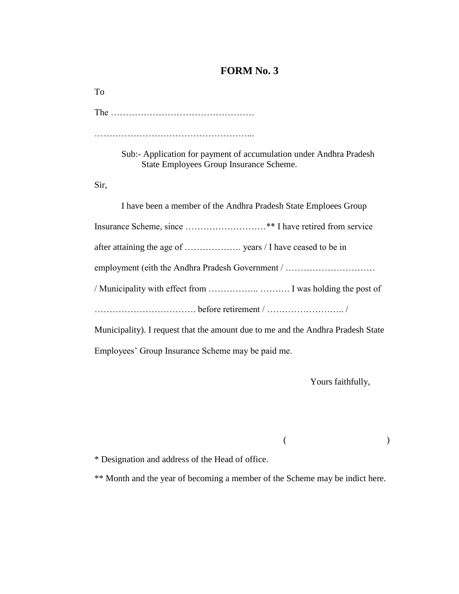The …………………………………………

……………………………………………...

Sub:- Application for payment of accumulation under Andhra Pradesh State Employees Group Insurance Scheme.

Sir,

To

| I have been a member of the Andhra Pradesh State Emploees Group                 |
|---------------------------------------------------------------------------------|
|                                                                                 |
|                                                                                 |
| employment (eith the Andhra Pradesh Government /                                |
|                                                                                 |
|                                                                                 |
| Municipality). I request that the amount due to me and the Andhra Pradesh State |
|                                                                                 |

Employees' Group Insurance Scheme may be paid me.

Yours faithfully,

\* Designation and address of the Head of office.

\*\* Month and the year of becoming a member of the Scheme may be indict here.

 $($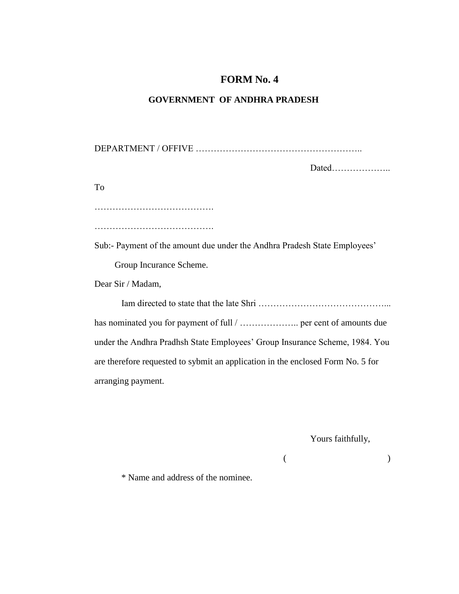#### **GOVERNMENT OF ANDHRA PRADESH**

DEPARTMENT / OFFIVE ……………………………………………….. Dated……………….. To …………………………………. …………………………………. Sub:- Payment of the amount due under the Andhra Pradesh State Employees' Group Incurance Scheme. Dear Sir / Madam, Iam directed to state that the late Shri ……………………………………... has nominated you for payment of full / ……………….. per cent of amounts due under the Andhra Pradhsh State Employees' Group Insurance Scheme, 1984. You are therefore requested to sybmit an application in the enclosed Form No. 5 for arranging payment.

Yours faithfully,

 $($  )

\* Name and address of the nominee.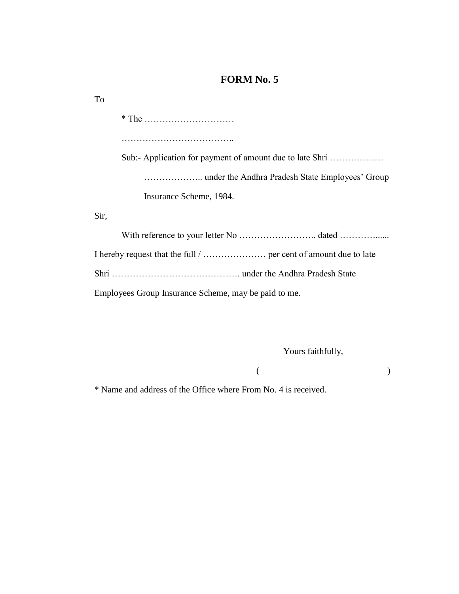\* The ………………………… ……………………………….. Sub:- Application for payment of amount due to late Shri ……………… ……………….. under the Andhra Pradesh State Employees' Group Insurance Scheme, 1984. Sir, With reference to your letter No …………………….. dated …………......

I hereby request that the full / ………………… per cent of amount due to late Shri ……………………………………. under the Andhra Pradesh State

Employees Group Insurance Scheme, may be paid to me.

Yours faithfully,

 $($  )

\* Name and address of the Office where From No. 4 is received.

To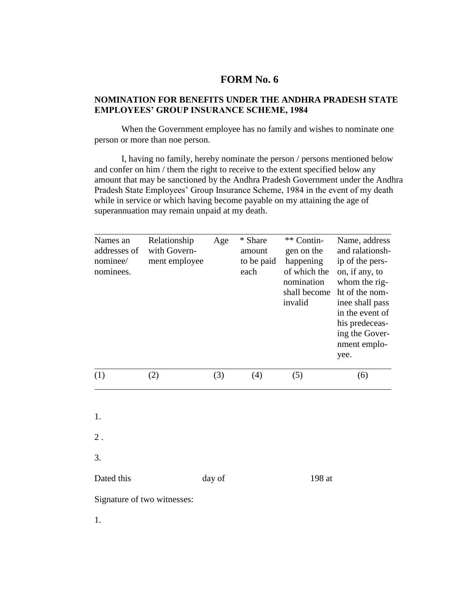#### **NOMINATION FOR BENEFITS UNDER THE ANDHRA PRADESH STATE EMPLOYEES' GROUP INSURANCE SCHEME, 1984**

When the Government employee has no family and wishes to nominate one person or more than noe person.

I, having no family, hereby nominate the person / persons mentioned below and confer on him / them the right to receive to the extent specified below any amount that may be sanctioned by the Andhra Pradesh Government under the Andhra Pradesh State Employees' Group Insurance Scheme, 1984 in the event of my death while in service or which having become payable on my attaining the age of superannuation may remain unpaid at my death.

| Names an<br>addresses of<br>nominee/<br>nominees. | Relationship<br>with Govern-<br>ment employee |        | * Share<br>amount<br>to be paid<br>each | ** Contin-<br>gen on the<br>happening<br>of which the<br>nomination<br>shall become<br>invalid | Name, address<br>and ralationsh-<br>ip of the pers-<br>on, if any, to<br>whom the rig-<br>ht of the nom-<br>inee shall pass<br>in the event of<br>his predeceas-<br>ing the Gover-<br>nment emplo-<br>yee. |  |
|---------------------------------------------------|-----------------------------------------------|--------|-----------------------------------------|------------------------------------------------------------------------------------------------|------------------------------------------------------------------------------------------------------------------------------------------------------------------------------------------------------------|--|
| (1)                                               | (2)                                           | (3)    | (4)                                     | (5)                                                                                            | (6)                                                                                                                                                                                                        |  |
| 1.<br>$2$ .                                       |                                               |        |                                         |                                                                                                |                                                                                                                                                                                                            |  |
| 3.                                                |                                               |        |                                         |                                                                                                |                                                                                                                                                                                                            |  |
| Dated this                                        |                                               | day of |                                         | 198 at                                                                                         |                                                                                                                                                                                                            |  |
| Signature of two witnesses:                       |                                               |        |                                         |                                                                                                |                                                                                                                                                                                                            |  |
| 1.                                                |                                               |        |                                         |                                                                                                |                                                                                                                                                                                                            |  |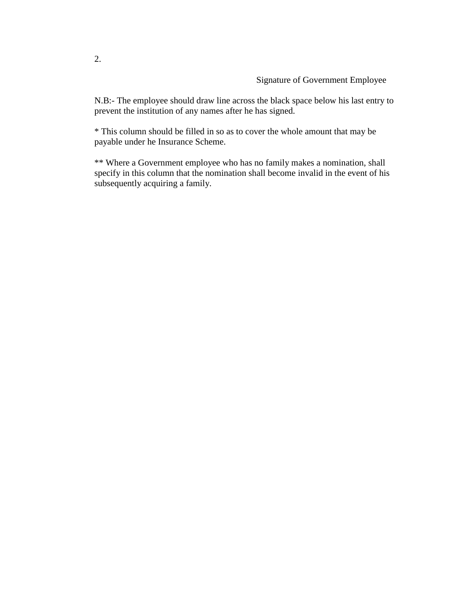N.B:- The employee should draw line across the black space below his last entry to prevent the institution of any names after he has signed.

\* This column should be filled in so as to cover the whole amount that may be payable under he Insurance Scheme.

\*\* Where a Government employee who has no family makes a nomination, shall specify in this column that the nomination shall become invalid in the event of his subsequently acquiring a family.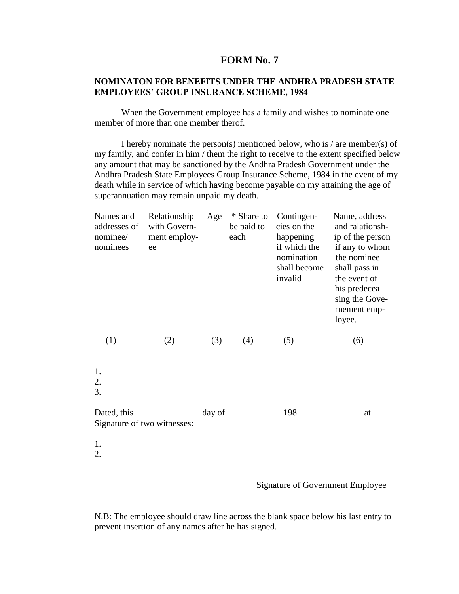#### **NOMINATON FOR BENEFITS UNDER THE ANDHRA PRADESH STATE EMPLOYEES' GROUP INSURANCE SCHEME, 1984**

When the Government employee has a family and wishes to nominate one member of more than one member therof.

I hereby nominate the person(s) mentioned below, who is / are member(s) of my family, and confer in him / them the right to receive to the extent specified below any amount that may be sanctioned by the Andhra Pradesh Government under the Andhra Pradesh State Employees Group Insurance Scheme, 1984 in the event of my death while in service of which having become payable on my attaining the age of superannuation may remain unpaid my death.

| Names and<br>addresses of<br>nominee/<br>nominees | Relationship<br>with Govern-<br>ment employ-<br>ee | Age    | * Share to<br>be paid to<br>each | Contingen-<br>cies on the<br>happening<br>if which the<br>nomination<br>shall become<br>invalid | Name, address<br>and ralationsh-<br>ip of the person<br>if any to whom<br>the nominee<br>shall pass in<br>the event of<br>his predecea<br>sing the Gove-<br>rnement emp-<br>loyee. |
|---------------------------------------------------|----------------------------------------------------|--------|----------------------------------|-------------------------------------------------------------------------------------------------|------------------------------------------------------------------------------------------------------------------------------------------------------------------------------------|
| (1)                                               | (2)                                                | (3)    | (4)                              | (5)                                                                                             | (6)                                                                                                                                                                                |
| 1.<br>2.<br>3.<br>Dated, this<br>1.<br>2.         | Signature of two witnesses:                        | day of |                                  | 198                                                                                             | at                                                                                                                                                                                 |
|                                                   |                                                    |        |                                  |                                                                                                 | <b>Signature of Government Employee</b>                                                                                                                                            |

N.B: The employee should draw line across the blank space below his last entry to prevent insertion of any names after he has signed.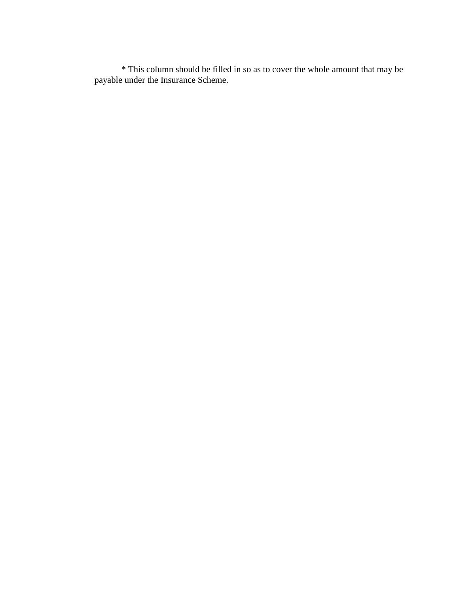\* This column should be filled in so as to cover the whole amount that may be payable under the Insurance Scheme.